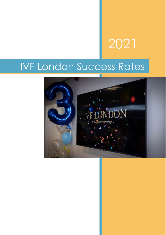# 2021

# IVF London Success Rates

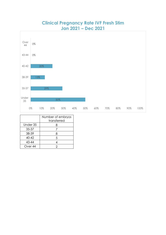### **Clinical Pregnancy Rate IVF Fresh Stim Jan 2021 – Dec 2021**



|           | Number of embryos<br>transferred |
|-----------|----------------------------------|
| Under 35  | 8                                |
| 35-37     |                                  |
| 38-39     | 8                                |
| $40 - 42$ | 5                                |
| 43-44     |                                  |
| Over 44   |                                  |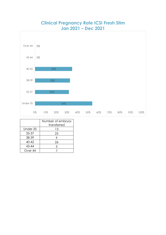



|           | Number of embryos<br>transferred |
|-----------|----------------------------------|
| Under 35  |                                  |
|           | 13                               |
| 35-37     | 25                               |
| 38-39     |                                  |
| $40 - 42$ | 26                               |
| 43-44     | 5                                |
| Over 44   |                                  |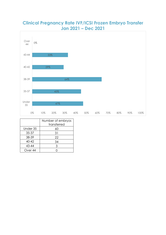#### **Clinical Pregnancy Rate IVF/ICSI Frozen Embryo Transfer Jan 2021 – Dec 2021**



|                    | Number of embryos |
|--------------------|-------------------|
|                    | transferred       |
| Under 35           | 60                |
| 35-37              | 31                |
| 38-39              | 22                |
| $40 - 42$          | 34                |
| 43-44              | 3                 |
| Over <sub>44</sub> |                   |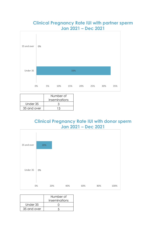#### **Clinical Pregnancy Rate IUI with partner sperm Jan 2021 – Dec 2021**



|             | Number of     |
|-------------|---------------|
|             | inseminations |
| Under 35    |               |
| 35 and over | 1 R           |

## **Clinical Pregnancy Rate IUI with donor sperm Jan 2021 – Dec 2021**



|             | Number of     |
|-------------|---------------|
|             | inseminations |
| Under 35    |               |
| 35 and over |               |